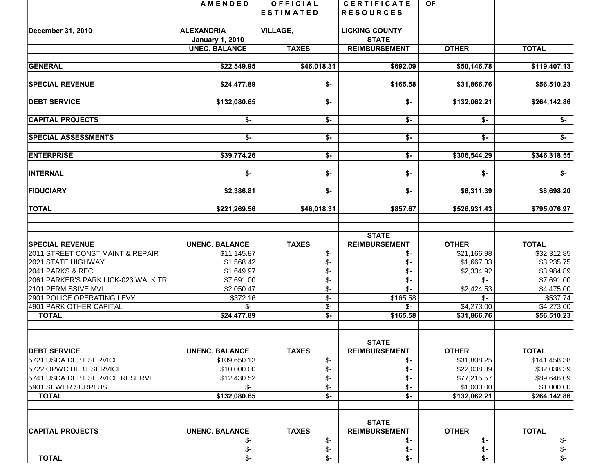|                                                            | <b>AMENDED</b>           | OFFICIAL                             | <b>CERTIFICATE</b>                     | OF.                             |                           |
|------------------------------------------------------------|--------------------------|--------------------------------------|----------------------------------------|---------------------------------|---------------------------|
|                                                            |                          | <b>ESTIMATED</b>                     | <b>RESOURCES</b>                       |                                 |                           |
|                                                            |                          |                                      |                                        |                                 |                           |
| December 31, 2010                                          | <b>ALEXANDRIA</b>        | <b>VILLAGE,</b>                      | <b>LICKING COUNTY</b>                  |                                 |                           |
|                                                            | <b>January 1, 2010</b>   |                                      | <b>STATE</b>                           |                                 |                           |
|                                                            | <b>UNEC. BALANCE</b>     | <b>TAXES</b>                         | <b>REIMBURSEMENT</b>                   | <b>OTHER</b>                    | <b>TOTAL</b>              |
| <b>GENERAL</b>                                             | \$22,549.95              | \$46,018.31                          | \$692.09                               | \$50,146.78                     | \$119,407.13              |
| <b>SPECIAL REVENUE</b>                                     | \$24,477.89              | \$-                                  | \$165.58                               | \$31,866.76                     | \$56,510.23               |
| <b>DEBT SERVICE</b>                                        | \$132,080.65             | $$-$                                 | \$-                                    | \$132,062.21                    | \$264,142.86              |
| <b>CAPITAL PROJECTS</b>                                    | \$-                      | \$-                                  | \$-                                    | \$-                             | $\overline{\mathsf{S}}$   |
| <b>SPECIAL ASSESSMENTS</b>                                 | \$-                      | \$-                                  | \$-                                    | \$-                             | \$-                       |
| <b>ENTERPRISE</b>                                          | \$39,774.26              | \$-                                  | \$-                                    | \$306,544.29                    | \$346,318.55              |
| <b>INTERNAL</b>                                            | \$-                      | $\overline{\bullet}$                 | $\overline{\ast}$                      | \$-                             | $\overline{\bullet}$      |
| <b>FIDUCIARY</b>                                           | \$2,386.81               | $\overline{\$}$ -                    | $\overline{\mathsf{S}}$ -              | \$6,311.39                      | \$8,698.20                |
| <b>TOTAL</b>                                               | \$221,269.56             | \$46,018.31                          | \$857.67                               | \$526,931.43                    | \$795,076.97              |
|                                                            |                          |                                      | <b>STATE</b>                           |                                 |                           |
| <b>SPECIAL REVENUE</b>                                     | <b>UNENC. BALANCE</b>    | <b>TAXES</b>                         | <b>REIMBURSEMENT</b>                   | <b>OTHER</b>                    | <b>TOTAL</b>              |
| 2011 STREET CONST MAINT & REPAIR                           | \$11,145.87              | \$-                                  | \$-                                    | \$21,166.98                     | \$32,312.85               |
| 2021 STATE HIGHWAY                                         | \$1,568.42               | \$-                                  | $\overline{\$}$ -                      | \$1,667.33                      | \$3,235.75                |
| 2041 PARKS & REC                                           | \$1,649.97               | $\overline{\mathcal{S}}$ -           | $\overline{\$}$ -                      | \$2,334.92                      | \$3,984.89                |
| 2061 PARKER'S PARK LICK-023 WALK TR<br>2101 PERMISSIVE MVL | \$7,691.00               | $\overline{\$}$<br>$\overline{\$}$ - | $\overline{\$}$ -<br>$\overline{\$}$ - | $\mathcal{S}$ -                 | \$7,691.00                |
| 2901 POLICE OPERATING LEVY                                 | \$2,050.47<br>\$372.16   | \$-                                  | \$165.58                               | \$2,424.53<br>$\overline{\$}$ - | \$4,475.00<br>\$537.74    |
| 4901 PARK OTHER CAPITAL                                    | $\mathcal{S}$ -          | \$-                                  | \$-                                    | \$4,273.00                      | \$4,273.00                |
| <b>TOTAL</b>                                               | \$24,477.89              | $\overline{\mathsf{S}}$              | \$165.58                               | \$31,866.76                     | \$56,510.23               |
|                                                            |                          |                                      |                                        |                                 |                           |
| <b>DEBT SERVICE</b>                                        | <b>UNENC. BALANCE</b>    | <b>TAXES</b>                         | <b>STATE</b><br><b>REIMBURSEMENT</b>   | <b>OTHER</b>                    | <b>TOTAL</b>              |
| 5721 USDA DEBT SERVICE                                     | \$109,650.13             | \$-                                  | \$-                                    | \$31,808.25                     | \$141,458.38              |
| 5722 OPWC DEBT SERVICE                                     | \$10,000.00              | \$-                                  | $\overline{\$}$                        | \$22,038.39                     | \$32,038.39               |
| 5741 USDA DEBT SERVICE RESERVE                             | \$12,430.52              | $\overline{\$}$                      | $\overline{\$}$ -                      | \$77,215.57                     | \$89,646.09               |
| 5901 SEWER SURPLUS                                         | $\mathcal{S}$ -          | $\overline{\$}$ -                    | $\overline{\$}$ -                      | \$1,000.00                      | \$1,000.00                |
| <b>TOTAL</b>                                               | \$132,080.65             | \$-                                  | $\overline{\mathsf{S}}$                | \$132,062.21                    | \$264,142.86              |
|                                                            |                          |                                      | <b>STATE</b>                           |                                 |                           |
| <b>CAPITAL PROJECTS</b>                                    | <b>UNENC. BALANCE</b>    | <b>TAXES</b>                         | <b>REIMBURSEMENT</b>                   | <b>OTHER</b>                    | <b>TOTAL</b>              |
|                                                            | $\frac{2}{3}$            | $\overline{\mathcal{F}}$             | \$-                                    | $\overline{\mathcal{L}}$        | $\sqrt[6]{5}$             |
|                                                            | $\overline{\mathcal{E}}$ | $\overline{\mathcal{F}}$             | \$-                                    | $\overline{\mathcal{F}}$        | $\sqrt[6]{\cdot}$         |
| <b>TOTAL</b>                                               | $\overline{\$}$ -        | $\overline{\mathsf{S}}$              | $\overline{\mathcal{F}}$               | $\overline{\mathsf{S}}$         | $\overline{\mathsf{s}}$ - |